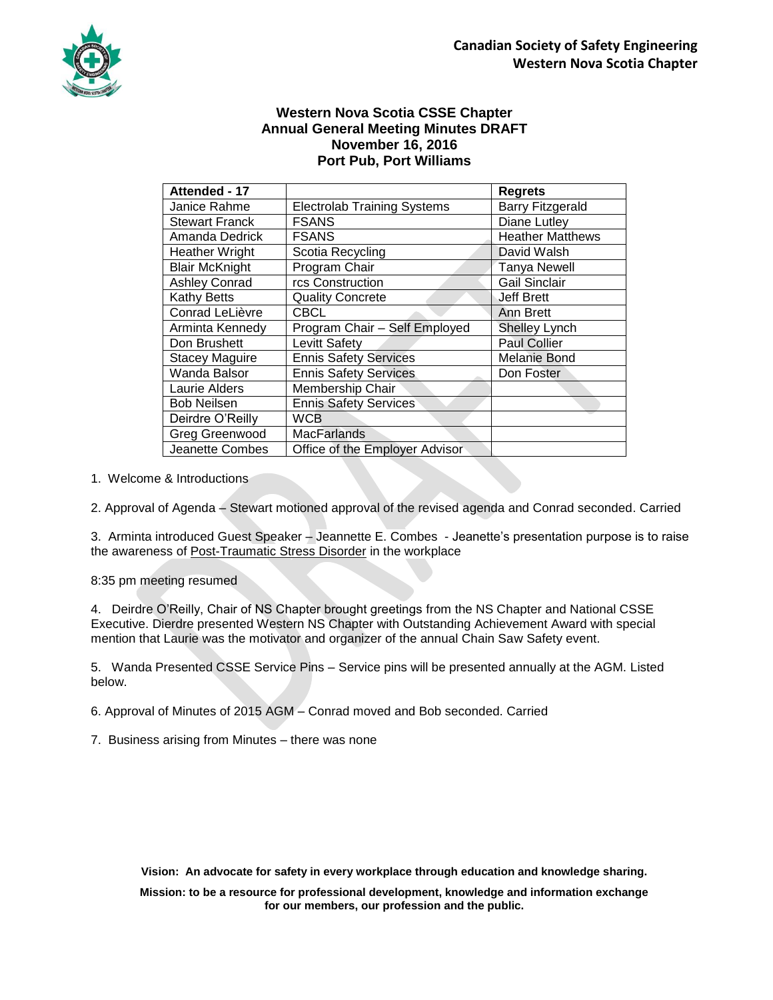

## **Western Nova Scotia CSSE Chapter Annual General Meeting Minutes DRAFT November 16, 2016 Port Pub, Port Williams**

| Attended - 17          |                                    | <b>Regrets</b>          |
|------------------------|------------------------------------|-------------------------|
| Janice Rahme           | <b>Electrolab Training Systems</b> | <b>Barry Fitzgerald</b> |
| <b>Stewart Franck</b>  | <b>FSANS</b>                       | Diane Lutley            |
| Amanda Dedrick         | <b>FSANS</b>                       | <b>Heather Matthews</b> |
| <b>Heather Wright</b>  | Scotia Recycling                   | David Walsh             |
| <b>Blair McKnight</b>  | Program Chair                      | <b>Tanya Newell</b>     |
| <b>Ashley Conrad</b>   | rcs Construction                   | <b>Gail Sinclair</b>    |
| <b>Kathy Betts</b>     | <b>Quality Concrete</b>            | <b>Jeff Brett</b>       |
| Conrad LeLièvre        | <b>CBCL</b>                        | Ann Brett               |
| Arminta Kennedy        | Program Chair - Self Employed      | <b>Shelley Lynch</b>    |
| Don Brushett           | Levitt Safety                      | <b>Paul Collier</b>     |
| <b>Stacey Maguire</b>  | <b>Ennis Safety Services</b>       | Melanie Bond            |
| Wanda Balsor           | <b>Ennis Safety Services</b>       | Don Foster              |
| Laurie Alders          | Membership Chair                   |                         |
| <b>Bob Neilsen</b>     | <b>Ennis Safety Services</b>       |                         |
| Deirdre O'Reilly       | <b>WCB</b>                         |                         |
| <b>Greg Greenwood</b>  | <b>MacFarlands</b>                 |                         |
| <b>Jeanette Combes</b> | Office of the Employer Advisor     |                         |

1. Welcome & Introductions

2. Approval of Agenda – Stewart motioned approval of the revised agenda and Conrad seconded. Carried

3. Arminta introduced Guest Speaker – Jeannette E. Combes - Jeanette's presentation purpose is to raise the awareness of Post-Traumatic Stress Disorder in the workplace

8:35 pm meeting resumed

4. Deirdre O'Reilly, Chair of NS Chapter brought greetings from the NS Chapter and National CSSE Executive. Dierdre presented Western NS Chapter with Outstanding Achievement Award with special mention that Laurie was the motivator and organizer of the annual Chain Saw Safety event.

5. Wanda Presented CSSE Service Pins – Service pins will be presented annually at the AGM. Listed below.

6. Approval of Minutes of 2015 AGM – Conrad moved and Bob seconded. Carried

7. Business arising from Minutes – there was none

**Vision: An advocate for safety in every workplace through education and knowledge sharing.**

**Mission: to be a resource for professional development, knowledge and information exchange for our members, our profession and the public.**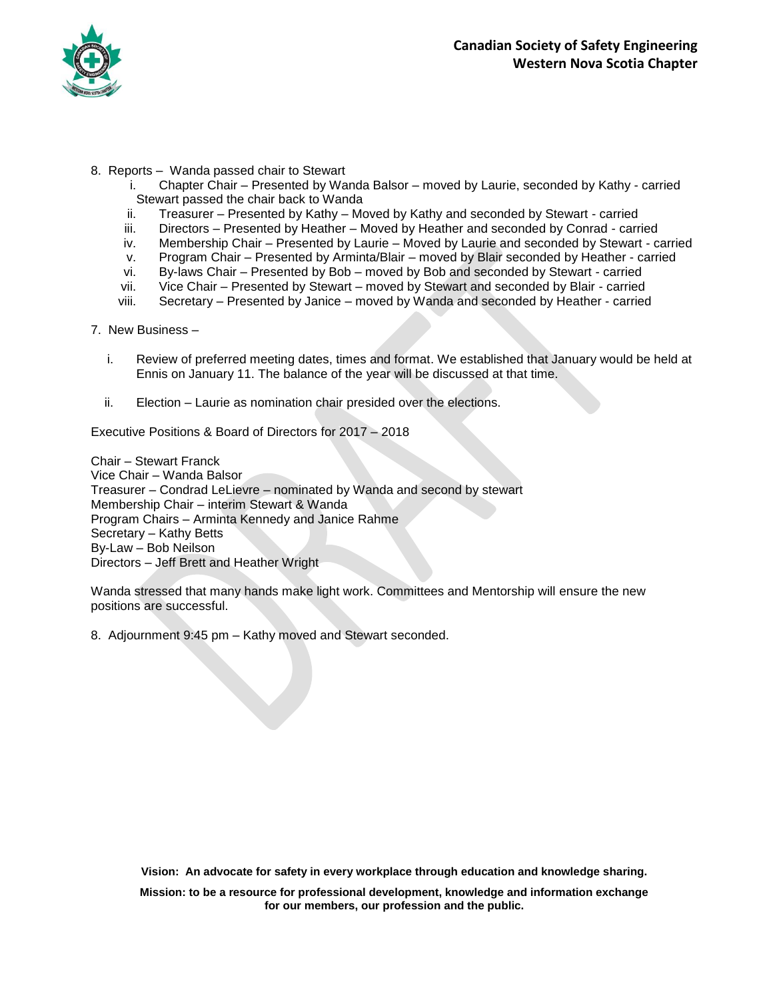

- 8. Reports Wanda passed chair to Stewart
	- i. Chapter Chair Presented by Wanda Balsor moved by Laurie, seconded by Kathy carried Stewart passed the chair back to Wanda
	- ii. Treasurer Presented by Kathy Moved by Kathy and seconded by Stewart carried
	- iii. Directors Presented by Heather Moved by Heather and seconded by Conrad carried
	- iv. Membership Chair Presented by Laurie Moved by Laurie and seconded by Stewart carried
	- v. Program Chair Presented by Arminta/Blair moved by Blair seconded by Heather carried
	- vi. By-laws Chair Presented by Bob moved by Bob and seconded by Stewart carried
	- vii. Vice Chair Presented by Stewart moved by Stewart and seconded by Blair carried
	- viii. Secretary Presented by Janice moved by Wanda and seconded by Heather carried
- 7. New Business
	- i. Review of preferred meeting dates, times and format. We established that January would be held at Ennis on January 11. The balance of the year will be discussed at that time.
	- ii. Election Laurie as nomination chair presided over the elections.

Executive Positions & Board of Directors for 2017 – 2018

Chair – Stewart Franck Vice Chair – Wanda Balsor Treasurer – Condrad LeLievre – nominated by Wanda and second by stewart Membership Chair – interim Stewart & Wanda Program Chairs – Arminta Kennedy and Janice Rahme Secretary – Kathy Betts By-Law – Bob Neilson Directors – Jeff Brett and Heather Wright

Wanda stressed that many hands make light work. Committees and Mentorship will ensure the new positions are successful.

8. Adjournment 9:45 pm – Kathy moved and Stewart seconded.

**Vision: An advocate for safety in every workplace through education and knowledge sharing.**

**Mission: to be a resource for professional development, knowledge and information exchange for our members, our profession and the public.**